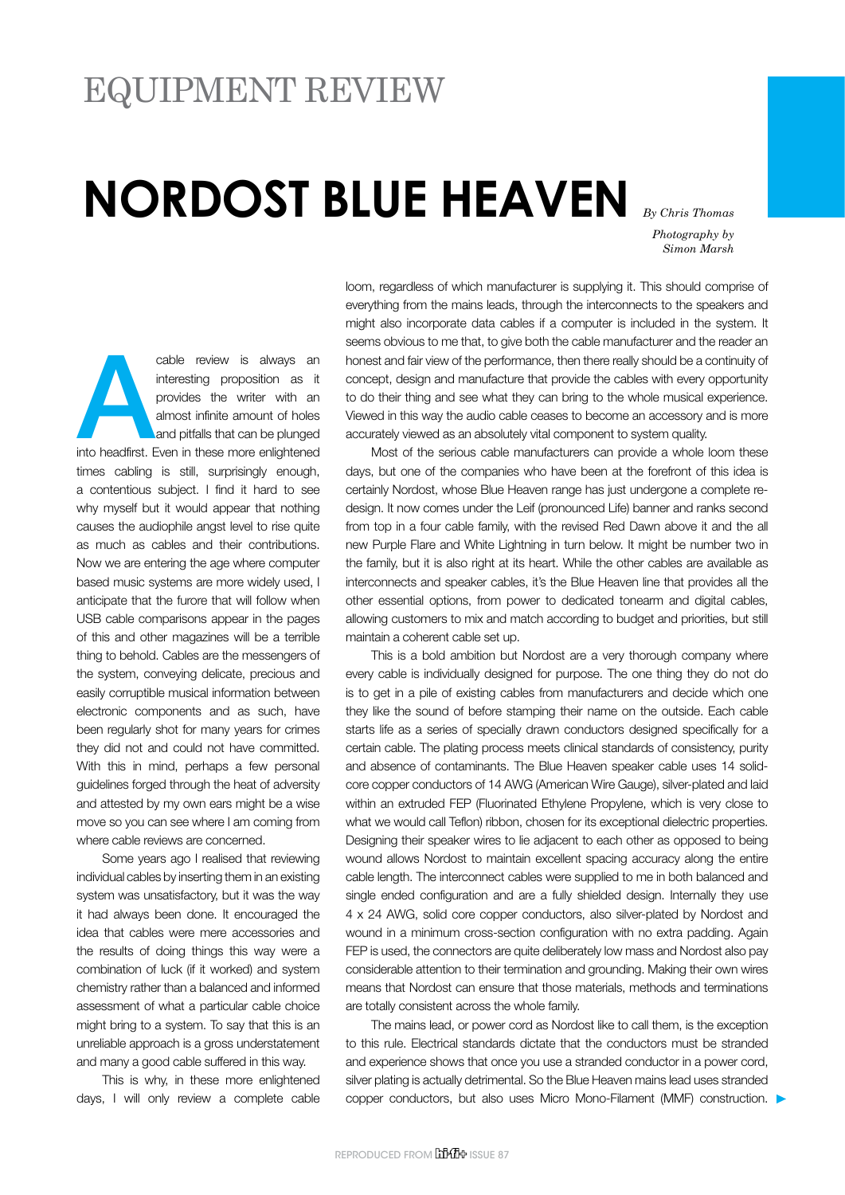## Equipment Review

## **NORDOST BLUE HEAVEN**

*By Chris Thomas Photography by Simon Marsh*

cable review is always an interesting proposition as it provides the writer with an almost infinite amount of holes and pitfalls that can be plunged into headfirst. Even in these more enlightened interesting proposition as it provides the writer with an almost infinite amount of holes and pitfalls that can be plunged times cabling is still, surprisingly enough, a contentious subject. I find it hard to see why myself but it would appear that nothing causes the audiophile angst level to rise quite as much as cables and their contributions. Now we are entering the age where computer based music systems are more widely used, I anticipate that the furore that will follow when USB cable comparisons appear in the pages of this and other magazines will be a terrible thing to behold. Cables are the messengers of the system, conveying delicate, precious and easily corruptible musical information between electronic components and as such, have been regularly shot for many years for crimes they did not and could not have committed. With this in mind, perhaps a few personal guidelines forged through the heat of adversity and attested by my own ears might be a wise move so you can see where I am coming from where cable reviews are concerned.

Some years ago I realised that reviewing individual cables by inserting them in an existing system was unsatisfactory, but it was the way it had always been done. It encouraged the idea that cables were mere accessories and the results of doing things this way were a combination of luck (if it worked) and system chemistry rather than a balanced and informed assessment of what a particular cable choice might bring to a system. To say that this is an unreliable approach is a gross understatement and many a good cable suffered in this way.

This is why, in these more enlightened days, I will only review a complete cable

loom, regardless of which manufacturer is supplying it. This should comprise of everything from the mains leads, through the interconnects to the speakers and might also incorporate data cables if a computer is included in the system. It seems obvious to me that, to give both the cable manufacturer and the reader an honest and fair view of the performance, then there really should be a continuity of concept, design and manufacture that provide the cables with every opportunity to do their thing and see what they can bring to the whole musical experience. Viewed in this way the audio cable ceases to become an accessory and is more accurately viewed as an absolutely vital component to system quality.

Most of the serious cable manufacturers can provide a whole loom these days, but one of the companies who have been at the forefront of this idea is certainly Nordost, whose Blue Heaven range has just undergone a complete redesign. It now comes under the Leif (pronounced Life) banner and ranks second from top in a four cable family, with the revised Red Dawn above it and the all new Purple Flare and White Lightning in turn below. It might be number two in the family, but it is also right at its heart. While the other cables are available as interconnects and speaker cables, it's the Blue Heaven line that provides all the other essential options, from power to dedicated tonearm and digital cables, allowing customers to mix and match according to budget and priorities, but still maintain a coherent cable set up.

This is a bold ambition but Nordost are a very thorough company where every cable is individually designed for purpose. The one thing they do not do is to get in a pile of existing cables from manufacturers and decide which one they like the sound of before stamping their name on the outside. Each cable starts life as a series of specially drawn conductors designed specifically for a certain cable. The plating process meets clinical standards of consistency, purity and absence of contaminants. The Blue Heaven speaker cable uses 14 solidcore copper conductors of 14 AWG (American Wire Gauge), silver-plated and laid within an extruded FEP (Fluorinated Ethylene Propylene, which is very close to what we would call Teflon) ribbon, chosen for its exceptional dielectric properties. Designing their speaker wires to lie adjacent to each other as opposed to being wound allows Nordost to maintain excellent spacing accuracy along the entire cable length. The interconnect cables were supplied to me in both balanced and single ended configuration and are a fully shielded design. Internally they use 4 x 24 AWG, solid core copper conductors, also silver-plated by Nordost and wound in a minimum cross-section configuration with no extra padding. Again FEP is used, the connectors are quite deliberately low mass and Nordost also pay considerable attention to their termination and grounding. Making their own wires means that Nordost can ensure that those materials, methods and terminations are totally consistent across the whole family.

The mains lead, or power cord as Nordost like to call them, is the exception to this rule. Electrical standards dictate that the conductors must be stranded and experience shows that once you use a stranded conductor in a power cord, silver plating is actually detrimental. So the Blue Heaven mains lead uses stranded copper conductors, but also uses Micro Mono-Filament (MMF) construction.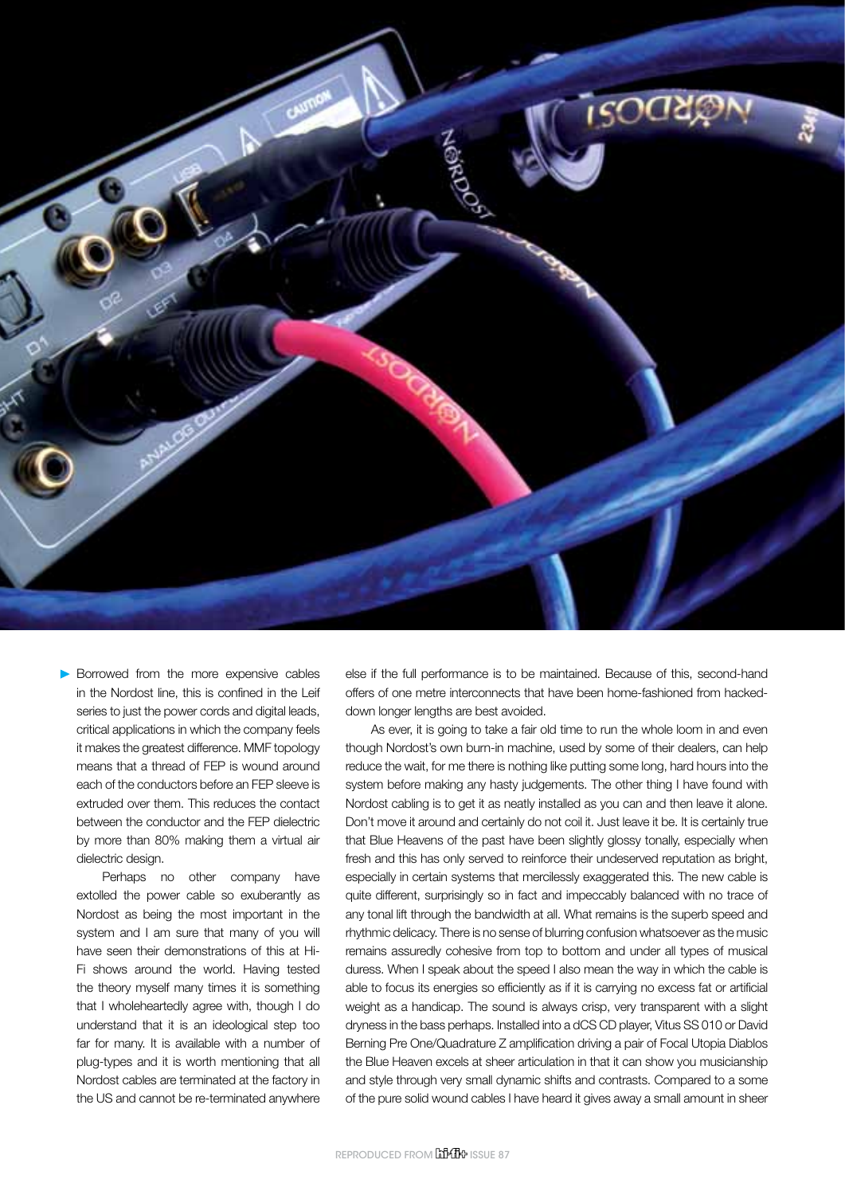

Borrowed from the more expensive cables in the Nordost line, this is confined in the Leif series to just the power cords and digital leads, critical applications in which the company feels it makes the greatest difference. MMF topology means that a thread of FEP is wound around each of the conductors before an FEP sleeve is extruded over them. This reduces the contact between the conductor and the FEP dielectric by more than 80% making them a virtual air dielectric design.

Perhaps no other company have extolled the power cable so exuberantly as Nordost as being the most important in the system and I am sure that many of you will have seen their demonstrations of this at Hi-Fi shows around the world. Having tested the theory myself many times it is something that I wholeheartedly agree with, though I do understand that it is an ideological step too far for many. It is available with a number of plug-types and it is worth mentioning that all Nordost cables are terminated at the factory in the US and cannot be re-terminated anywhere

else if the full performance is to be maintained. Because of this, second-hand offers of one metre interconnects that have been home-fashioned from hackeddown longer lengths are best avoided.

As ever, it is going to take a fair old time to run the whole loom in and even though Nordost's own burn-in machine, used by some of their dealers, can help reduce the wait, for me there is nothing like putting some long, hard hours into the system before making any hasty judgements. The other thing I have found with Nordost cabling is to get it as neatly installed as you can and then leave it alone. Don't move it around and certainly do not coil it. Just leave it be. It is certainly true that Blue Heavens of the past have been slightly glossy tonally, especially when fresh and this has only served to reinforce their undeserved reputation as bright, especially in certain systems that mercilessly exaggerated this. The new cable is quite different, surprisingly so in fact and impeccably balanced with no trace of any tonal lift through the bandwidth at all. What remains is the superb speed and rhythmic delicacy. There is no sense of blurring confusion whatsoever as the music remains assuredly cohesive from top to bottom and under all types of musical duress. When I speak about the speed I also mean the way in which the cable is able to focus its energies so efficiently as if it is carrying no excess fat or artificial weight as a handicap. The sound is always crisp, very transparent with a slight dryness in the bass perhaps. Installed into a dCS CD player, Vitus SS 010 or David Berning Pre One/Quadrature Z amplification driving a pair of Focal Utopia Diablos the Blue Heaven excels at sheer articulation in that it can show you musicianship and style through very small dynamic shifts and contrasts. Compared to a some of the pure solid wound cables I have heard it gives away a small amount in sheer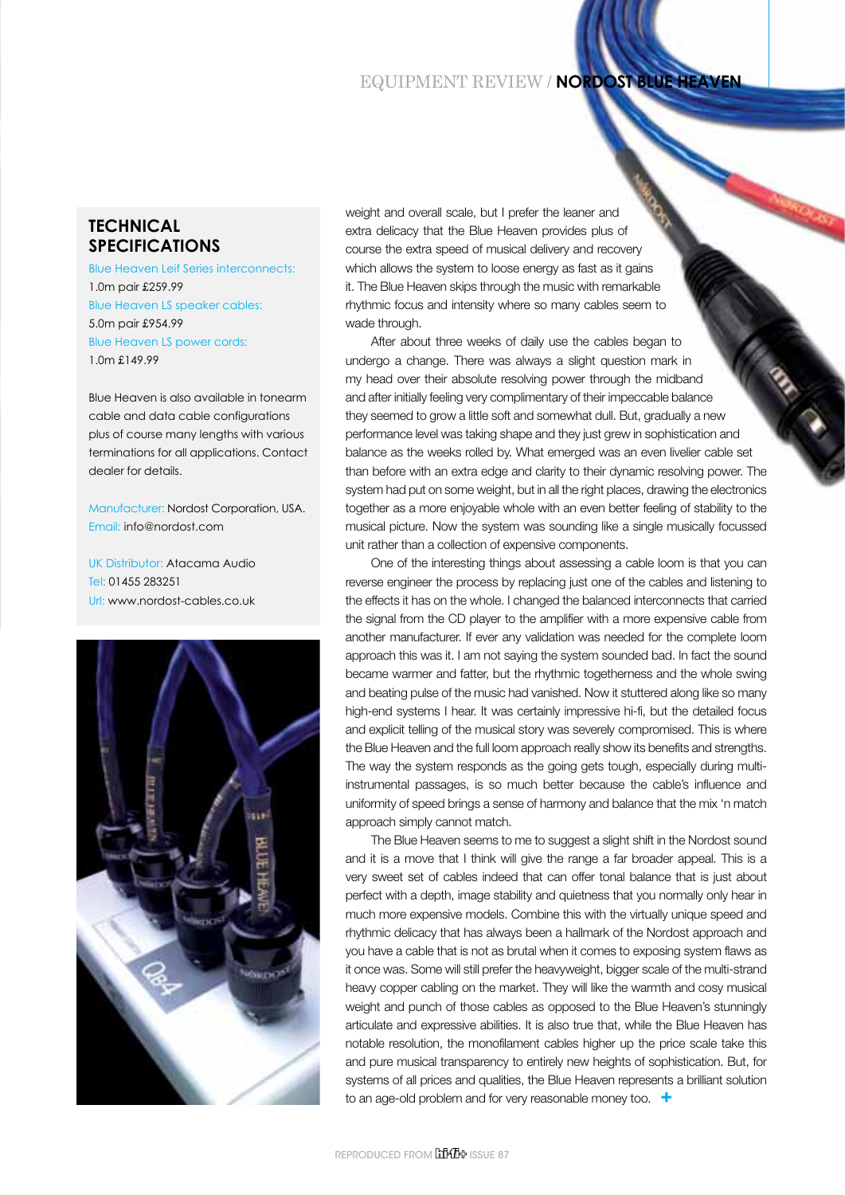## **EQUIPMENT REVIEW / NORDOST BLUE HEA**

## **Technical Specifications**

Blue Heaven Leif Series interconnects: 1.0m pair £259.99 Blue Heaven LS speaker cables: 5.0m pair £954.99 Blue Heaven LS power cords: 1.0m £149.99

Blue Heaven is also available in tonearm cable and data cable configurations plus of course many lengths with various terminations for all applications. Contact dealer for details.

Manufacturer: Nordost Corporation, USA. Email: info@nordost.com

UK Distributor: Atacama Audio Tel: 01455 283251 Url: www.nordost-cables.co.uk



weight and overall scale, but I prefer the leaner and extra delicacy that the Blue Heaven provides plus of course the extra speed of musical delivery and recovery which allows the system to loose energy as fast as it gains it. The Blue Heaven skips through the music with remarkable rhythmic focus and intensity where so many cables seem to wade through.

After about three weeks of daily use the cables began to undergo a change. There was always a slight question mark in my head over their absolute resolving power through the midband and after initially feeling very complimentary of their impeccable balance they seemed to grow a little soft and somewhat dull. But, gradually a new performance level was taking shape and they just grew in sophistication and balance as the weeks rolled by. What emerged was an even livelier cable set than before with an extra edge and clarity to their dynamic resolving power. The system had put on some weight, but in all the right places, drawing the electronics together as a more enjoyable whole with an even better feeling of stability to the musical picture. Now the system was sounding like a single musically focussed unit rather than a collection of expensive components.

One of the interesting things about assessing a cable loom is that you can reverse engineer the process by replacing just one of the cables and listening to the effects it has on the whole. I changed the balanced interconnects that carried the signal from the CD player to the amplifier with a more expensive cable from another manufacturer. If ever any validation was needed for the complete loom approach this was it. I am not saying the system sounded bad. In fact the sound became warmer and fatter, but the rhythmic togetherness and the whole swing and beating pulse of the music had vanished. Now it stuttered along like so many high-end systems I hear. It was certainly impressive hi-fi, but the detailed focus and explicit telling of the musical story was severely compromised. This is where the Blue Heaven and the full loom approach really show its benefits and strengths. The way the system responds as the going gets tough, especially during multiinstrumental passages, is so much better because the cable's influence and uniformity of speed brings a sense of harmony and balance that the mix 'n match approach simply cannot match.

The Blue Heaven seems to me to suggest a slight shift in the Nordost sound and it is a move that I think will give the range a far broader appeal. This is a very sweet set of cables indeed that can offer tonal balance that is just about perfect with a depth, image stability and quietness that you normally only hear in much more expensive models. Combine this with the virtually unique speed and rhythmic delicacy that has always been a hallmark of the Nordost approach and you have a cable that is not as brutal when it comes to exposing system flaws as it once was. Some will still prefer the heavyweight, bigger scale of the multi-strand heavy copper cabling on the market. They will like the warmth and cosy musical weight and punch of those cables as opposed to the Blue Heaven's stunningly articulate and expressive abilities. It is also true that, while the Blue Heaven has notable resolution, the monofilament cables higher up the price scale take this and pure musical transparency to entirely new heights of sophistication. But, for systems of all prices and qualities, the Blue Heaven represents a brilliant solution to an age-old problem and for very reasonable money too. **+**